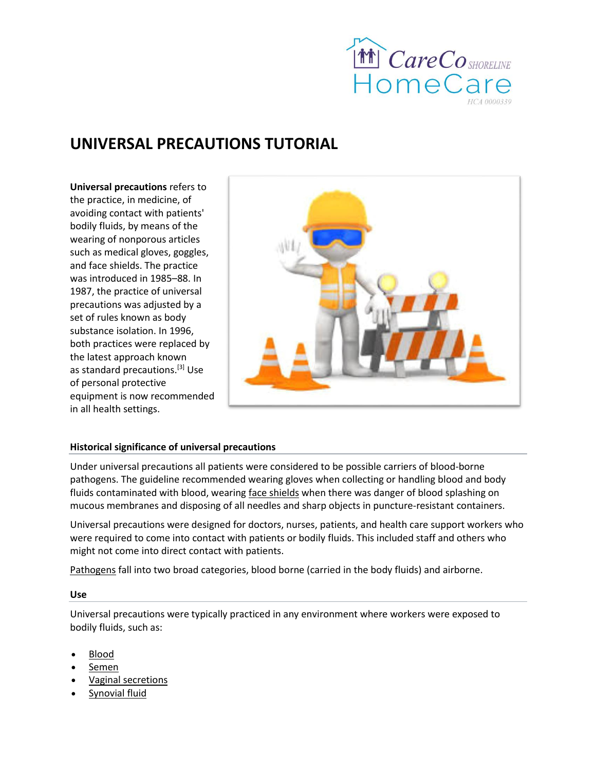

# **UNIVERSAL PRECAUTIONS TUTORIAL**

**Universal precautions** refers to the practice, in [medicine,](https://en.wikipedia.org/wiki/Medicine) of avoiding contact with patients' bodily fluids, by means of the wearing of nonporous articles such as [medical gloves,](https://en.wikipedia.org/wiki/Medical_gloves) [goggles,](https://en.wikipedia.org/wiki/Goggles) and [face shields.](https://en.wikipedia.org/wiki/Face_shield) The practice was introduced in 1985–88. In 1987, the practice of universal precautions was adjusted by a set of rules known as [body](https://en.wikipedia.org/wiki/Body_substance_isolation)  [substance isolation.](https://en.wikipedia.org/wiki/Body_substance_isolation) In 1996, both practices were replaced by the latest approach known as [standard precautions.](https://en.wikipedia.org/w/index.php?title=Standard_precautions_(health_care)&action=edit&redlink=1)<sup>[\[3\]](https://en.wikipedia.org/wiki/Universal_precautions#cite_note-3)</sup> Use of [personal protective](https://en.wikipedia.org/wiki/Personal_protective_equipment)  [equipment](https://en.wikipedia.org/wiki/Personal_protective_equipment) is now recommended in all health settings.



## **Historical significance of universal precautions**

Under universal precautions all patients were considered to be possible carriers of blood-borne pathogens. The guideline recommended wearing gloves when collecting or handling blood and body fluids contaminated with blood, wearing [face shields](https://en.wikipedia.org/wiki/Face_shield) when there was danger of blood splashing on mucous membranes and disposing of all needles and sharp objects in puncture-resistant containers.

Universal precautions were designed for doctors, nurses, patients, and health care support workers who were required to come into contact with patients or bodily fluids. This included staff and others who might not come into direct contact with patients.

[Pathogens](https://en.wikipedia.org/wiki/Pathogen) fall into two broad categories, blood borne (carried in the body fluids) and airborne.

#### **Use**

Universal precautions were typically practiced in any environment where workers were exposed to bodily fluids, such as:

- [Blood](https://en.wikipedia.org/wiki/Blood)
- [Semen](https://en.wikipedia.org/wiki/Semen)
- [Vaginal secretions](https://en.wikipedia.org/wiki/Vaginal_secretion)
- [Synovial fluid](https://en.wikipedia.org/wiki/Synovial_fluid)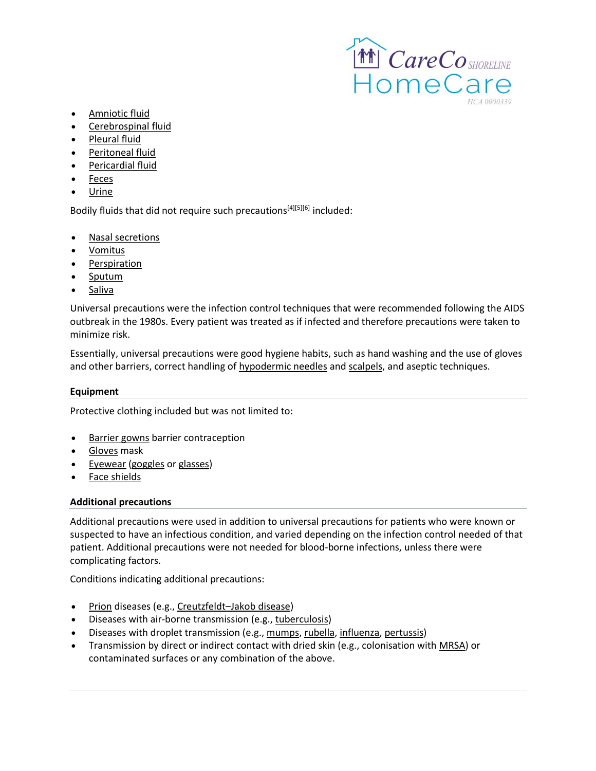

- [Amniotic fluid](https://en.wikipedia.org/wiki/Amniotic_fluid)
- [Cerebrospinal fluid](https://en.wikipedia.org/wiki/Cerebrospinal_fluid)
- [Pleural fluid](https://en.wikipedia.org/wiki/Pleural_fluid)
- [Peritoneal fluid](https://en.wikipedia.org/wiki/Peritoneal_fluid)
- [Pericardial fluid](https://en.wikipedia.org/wiki/Pericardial_fluid)
- [Feces](https://en.wikipedia.org/wiki/Feces)
- [Urine](https://en.wikipedia.org/wiki/Urine)

Bodily fluids that did not require such precautions<sup>[\[4\]\[5\]\[](https://en.wikipedia.org/wiki/Universal_precautions#cite_note-4)[6\]](https://en.wikipedia.org/wiki/Universal_precautions#cite_note-6)</sup> included:

- [Nasal secretions](https://en.wikipedia.org/wiki/Nasal_secretion)
- [Vomitus](https://en.wikipedia.org/wiki/Vomitus)
- [Perspiration](https://en.wikipedia.org/wiki/Perspiration)
- [Sputum](https://en.wikipedia.org/wiki/Sputum)
- [Saliva](https://en.wikipedia.org/wiki/Saliva)

Universal precautions were the infection control techniques that were recommended following the AIDS outbreak in the 1980s. Every patient was treated as if infected and therefore precautions were taken to minimize risk.

Essentially, universal precautions were good hygiene habits, such as hand washing and the use of gloves and other barriers, correct handling of [hypodermic needles](https://en.wikipedia.org/wiki/Hypodermic_needle) and [scalpels,](https://en.wikipedia.org/wiki/Scalpel) and aseptic techniques.

## **Equipment**

Protective clothing included but was not limited to:

- [Barrier gowns](https://en.wikipedia.org/wiki/Hospital_gown) barrier contraception
- [Gloves](https://en.wikipedia.org/wiki/Gloves) mask
- [Eyewear](https://en.wikipedia.org/wiki/Eyewear) [\(goggles](https://en.wikipedia.org/wiki/Goggles) or [glasses\)](https://en.wikipedia.org/wiki/Glasses)
- [Face shields](https://en.wikipedia.org/wiki/Face_shield)

## **Additional precautions**

Additional precautions were used in addition to universal precautions for patients who were known or suspected to have an infectious condition, and varied depending on the infection control needed of that patient. Additional precautions were not needed for blood-borne infections, unless there were complicating factors.

Conditions indicating additional precautions:

- [Prion](https://en.wikipedia.org/wiki/Prion) diseases (e.g., Creutzfeldt–[Jakob disease\)](https://en.wikipedia.org/wiki/Creutzfeldt%E2%80%93Jakob_disease)
- Diseases with air-borne transmission (e.g., [tuberculosis\)](https://en.wikipedia.org/wiki/Tuberculosis)
- Diseases with droplet transmission (e.g., [mumps,](https://en.wikipedia.org/wiki/Mumps) [rubella,](https://en.wikipedia.org/wiki/Rubella) [influenza,](https://en.wikipedia.org/wiki/Influenza) [pertussis\)](https://en.wikipedia.org/wiki/Pertussis)
- Transmission by direct or indirect contact with dried skin (e.g., colonisation with [MRSA\)](https://en.wikipedia.org/wiki/Methicillin-resistant_Staphylococcus_aureus) or contaminated surfaces or any combination of the above.